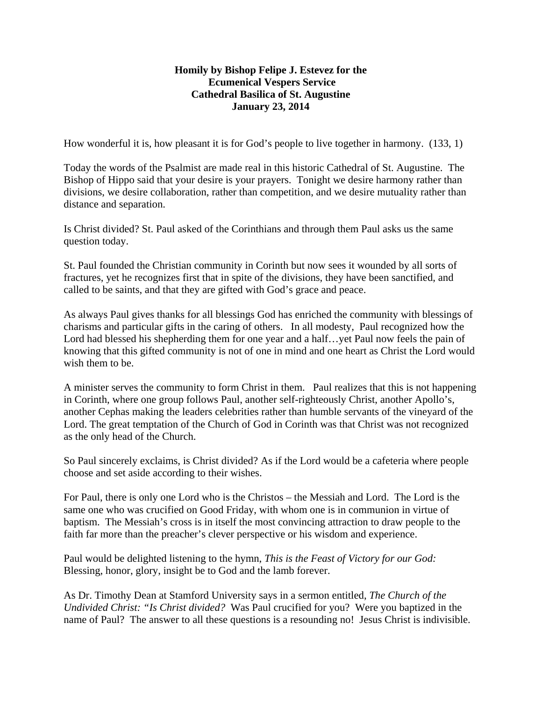## **Homily by Bishop Felipe J. Estevez for the Ecumenical Vespers Service Cathedral Basilica of St. Augustine January 23, 2014**

How wonderful it is, how pleasant it is for God's people to live together in harmony. (133, 1)

Today the words of the Psalmist are made real in this historic Cathedral of St. Augustine. The Bishop of Hippo said that your desire is your prayers. Tonight we desire harmony rather than divisions, we desire collaboration, rather than competition, and we desire mutuality rather than distance and separation.

Is Christ divided? St. Paul asked of the Corinthians and through them Paul asks us the same question today.

St. Paul founded the Christian community in Corinth but now sees it wounded by all sorts of fractures, yet he recognizes first that in spite of the divisions, they have been sanctified, and called to be saints, and that they are gifted with God's grace and peace.

As always Paul gives thanks for all blessings God has enriched the community with blessings of charisms and particular gifts in the caring of others. In all modesty, Paul recognized how the Lord had blessed his shepherding them for one year and a half…yet Paul now feels the pain of knowing that this gifted community is not of one in mind and one heart as Christ the Lord would wish them to be.

A minister serves the community to form Christ in them. Paul realizes that this is not happening in Corinth, where one group follows Paul, another self-righteously Christ, another Apollo's, another Cephas making the leaders celebrities rather than humble servants of the vineyard of the Lord. The great temptation of the Church of God in Corinth was that Christ was not recognized as the only head of the Church.

So Paul sincerely exclaims, is Christ divided? As if the Lord would be a cafeteria where people choose and set aside according to their wishes.

For Paul, there is only one Lord who is the Christos – the Messiah and Lord. The Lord is the same one who was crucified on Good Friday, with whom one is in communion in virtue of baptism. The Messiah's cross is in itself the most convincing attraction to draw people to the faith far more than the preacher's clever perspective or his wisdom and experience.

Paul would be delighted listening to the hymn, *This is the Feast of Victory for our God:*  Blessing, honor, glory, insight be to God and the lamb forever.

As Dr. Timothy Dean at Stamford University says in a sermon entitled, *The Church of the Undivided Christ: "Is Christ divided?* Was Paul crucified for you? Were you baptized in the name of Paul? The answer to all these questions is a resounding no! Jesus Christ is indivisible.